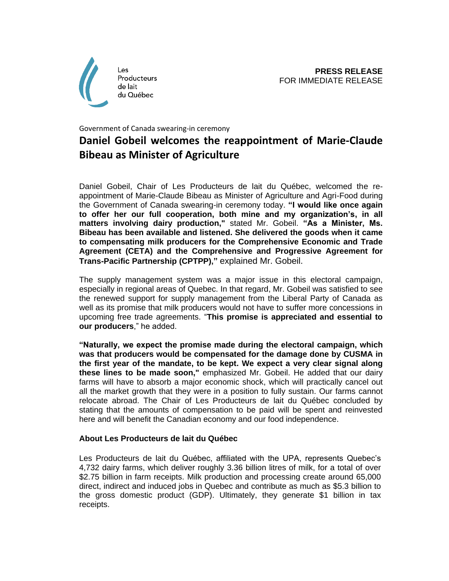

## Government of Canada swearing-in ceremony **Daniel Gobeil welcomes the reappointment of Marie-Claude Bibeau as Minister of Agriculture**

Daniel Gobeil, Chair of Les Producteurs de lait du Québec, welcomed the reappointment of Marie-Claude Bibeau as Minister of Agriculture and Agri-Food during the Government of Canada swearing-in ceremony today. **"I would like once again to offer her our full cooperation, both mine and my organization's, in all matters involving dairy production,"** stated Mr. Gobeil. **"As a Minister, Ms. Bibeau has been available and listened. She delivered the goods when it came to compensating milk producers for the Comprehensive Economic and Trade Agreement (CETA) and the Comprehensive and Progressive Agreement for Trans-Pacific Partnership (CPTPP),"** explained Mr. Gobeil.

The supply management system was a major issue in this electoral campaign, especially in regional areas of Quebec. In that regard, Mr. Gobeil was satisfied to see the renewed support for supply management from the Liberal Party of Canada as well as its promise that milk producers would not have to suffer more concessions in upcoming free trade agreements. "**This promise is appreciated and essential to our producers**," he added.

**"Naturally, we expect the promise made during the electoral campaign, which was that producers would be compensated for the damage done by CUSMA in the first year of the mandate, to be kept. We expect a very clear signal along these lines to be made soon,"** emphasized Mr. Gobeil. He added that our dairy farms will have to absorb a major economic shock, which will practically cancel out all the market growth that they were in a position to fully sustain. Our farms cannot relocate abroad. The Chair of Les Producteurs de lait du Québec concluded by stating that the amounts of compensation to be paid will be spent and reinvested here and will benefit the Canadian economy and our food independence.

## **About Les Producteurs de lait du Québec**

Les Producteurs de lait du Québec, affiliated with the UPA, represents Quebec's 4,732 dairy farms, which deliver roughly 3.36 billion litres of milk, for a total of over \$2.75 billion in farm receipts. Milk production and processing create around 65,000 direct, indirect and induced jobs in Quebec and contribute as much as \$5.3 billion to the gross domestic product (GDP). Ultimately, they generate \$1 billion in tax receipts.